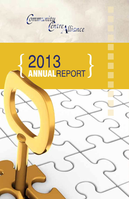

# **ANNUALREPORT** 2013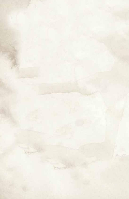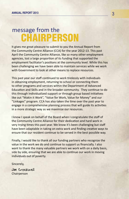# message from the chairperson

It gives me great pleasure to submit to you the Annual Report from the Community Centre Alliance (CCA) for the year 2012-13. This past April the Community Centre Alliance, like so many other employment agencies, lost a large proportion of its funding that supported the employment facilitator's positions at the community level. While this has been challenging we have been able to maintain services while we work with Government to look at other means to replace resources.

This past year our staff continued to work tirelessly with individuals in obtaining employment, returning to school or connecting them to other programs and services within the Department of Advanced Education and Skills and in the broader community. They continue to do this through individualized support or through group based initiatives like out "Makin it Work", "Value for Work, Value for Money" and our "Linkages" program. CCA has also taken the time over the past year to engage in a comprehensive planning process that will guide its activities in a more strategic way as we maximize our resources.

I know I speak on behalf of the Board when I congratulate the staff of the Community Centre Alliance for their dedication and hard work in very trying times this past year. We know it's been challenging but staff have been adaptable in taking on extra work and finding creative ways to ensure that our resident continue to be served in the best possible way.

Finally, I would like to thank all our funding partners who recognize the value in the work we do and continue to support us financially. I also want to thank the many valuable partners we work with on a daily basis, side by side, ensuring that we are able to continue our work in moving individuals out of poverty.

Sincerely,

Jim Crockwell **Chairperson**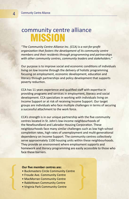## community centre alliance mission

*"The Community Centre Alliance Inc. (CCA) is a not-for-profit organization that fosters the development of its community centre members and their residents through programming and partnerships with other community centres, community leaders and stakeholders."*

Our purpose is to improve social and economic conditions of individuals living on low income through the delivery of holistic programming focusing on employment, economic development, education and literacy through partnerships and policy development that supports poverty reduction.

CCA has 11 years experience and qualified staff with expertise in providing programs and services in employment, literacy and social development. CCA specializes in working with individuals living on Income Support or at risk of receiving Income Support. Our target groups are individuals who face multiple challenges in terms of securing a successful attachment to the work force.

CCA's strength is in our unique partnership with the five community centres located in St. John's low-income neighbourhoods of the Newfoundland and Labrador Housing Corporation. These neighbourhoods face many similar challenges such as low high-school completion rates, high rates of unemployment and multi-generational dependency on Income Support. The community centres collectively serve approximately 1100 housing units within these neighbourhoods. They provide an environment where employment supports and homework and literacy programming are easily accessible to those who face these barriers.

#### **Our five member centres are:**

- Buckmasters Circle Community Centre
- Froude Ave. Community Centre
- MacMorran Community Centre
- Rabbittown Community Centre
- Virginia Park Community Centre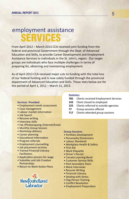# employment assistance services

From April 2012 – March 2013 CCA received joint funding from the federal and provincial Government through the Dept. of Advanced Education and Skills, to provide Career Development and Employment Assistance Services to individuals in the St. John's, region. Our target groups are individuals who face multiple challenges in terms of preparing for, obtaining and maintaining employment.

As of April 2013 CCA received major cuts to funding with the total loss of our federal funding and is now solely funded through the provincial department of Advanced Education and Skills. These stats below are for the period of April 1, 2012 – March 31, 2013.

#### **Services Provided**

- Employment needs assessment
- Case management
- Labour market information
- Job Search
- Resume writing
- Interview skills
- Fax /Photocopying /Internet/Email
- Monthly Group Session
- Workshop delivery
- Career planning
- Educational Information
- Program referrals
- Employment counselling
- Job placement services
- Trained Financial Literacy **Facilitators**
- Application process for wage
- Subsidies and Job Creation Partnerships
- Return to Work Action Plans



#### **Statistics**

- **785** Clients received Employment Services
- **143** Client closed to employed
- **125** Clients referred to outside agencies
- **77** Group sessions offered
- **717** Clients attended group sessions

#### **Group Sessions**

- Portfolio Development
- Personality Dimensions
- Labour Standards
- Workplace Health & Safety
- First Aid
- Work Etiquette
- Driver's Permit
- Canada Learning Bond
- Customer Service Skills
- Post-Secondary Tours
- Mock Interviews
- Resume Writing
- Financial Literacy
- Dealing with Stress
- Flag Person Training
- Conflict Resolution
- Employment Preparation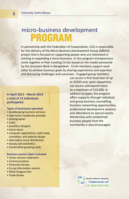# micro-business development program

In partnership with the Federation of Cooperatives, CCA is responsible for the delivery of the Micro-Business Development Group (MBDG) project that is focused on supporting people who are interested in starting or expanding a micro-business. In this program entrepreneurs come together in Peer Lending Circles based on the model pioneered by the Grameen Bank in Bangladesh. Circle members support each other to achieve business goals by sharing experiences and expertise and discussing challenges and successes. Engaged group members

**In April 2012 – March 2013 a total of 12 individuals participated.**

**Types of businesses operated:**

- bookkeeping business services
- alternative healthcare provider
- photographer
- artist
- jewellery designer
- home decor
- computer applications, web-ready animation, and website design
- alternative music distribution
- beauty and aesthetics
- handcrafted greeting cards

#### **Business session topics included:**

- Vision mission statement
- Communications
- Financial Literacy
- Co-op information session
- Mock Dragons Den
- Trade Shows

can access a first level loan of up to \$2500 and, upon repayment, can access subsequent loans to a maximum of \$10,000. In addition to loans, the program offers supports through individual and group business counselling, business networking opportunities, professional development sessions and attendance to special events. Mentorship with established business people from the community is also encouraged.

> Newfoundland-Labrador Federation of Co-operatives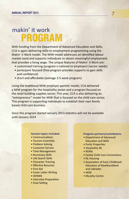# makin' it work program

With funding from the Department of Advanced Education and Skills, CCA is again delivering skills-to-employment programming using the Makin' it Work model. The MiW model addresses an identified labour market need and supports individuals to obtain meaningful employment that provides a living wage. The unique features of Makin' it Work are:

- customized training (program is tailored to employers'/sector needs)
- participant focused (free program provides supports to gain skills and confidence)
- short and affordable (average 3-5 week program)

Using the traditional MiW employer-partner model, CCA delivered a MiW program for the hospitality sector and a program focused on the retail building supplies sector. This year, CCA is also delivering an "entrepreneur" model for MiW that is focused on the child care sector. This program is supporting individuals to establish their own family based child care business.

Since this program started January 2013 statistics will not be available until January 2014

#### **Session topics included:**

- Communications
- Tourism Essentials
- Problem Solving
- Customer Service
- Time Management
- Numeracy Skills
- Job Search Skills
- Character Training
- Effective Resumes
- First Aid
- Cover Letter Writing
- WHMIS
- Interview Preparation
- Goal Setting

#### **Program partners/contributors:**

- Department of Advanced Education and Skills
- Fortis Properties
- Hospitality NL
- RONA
- Family Child Care Connections
- NL Housing
- Association of Early Childhood Educators of Newfoundland and Labrador
- WISE
- Murphy Centre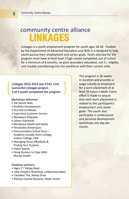## community centre alliance linkages

Linkages is a youth employment program for youth ages 18-30. Funded by the Department of Advanced Education and Skills it is designed to help youth pursue their employment and career goals. Youth selected for the program must have at least level 2 high school completed, out of school for a minimum of 6 months, no post-secondary education, not E.I. eligible, and trouble transitioning into the workforce with their current skills.

#### **Linkages 2012-2013 was CCA's 11th successful Linkages project. 3 of 4 youth completed the program**

#### **Workshops delivered:**

- Job Search Skills
- Portfolio Development
- First Aid Certificate
- SuperHost Customer Service
- Workplace Etiquette
- Labour Standards
- Workplace Health and Safety
- Personality Dimensions
- Post-secondary School Tours Academy Canada, Keyin College, Eastern College, CNA
- Managing Stress Effectively & Finding Your Purpose
- Vision Boards
- Using Humour to Cope With Mental Health

#### **Employer partners:**

- Signs 1st, Torbay Road
- Little People's Workshop, LeMarchant Road
- Canadian Tire, Kelsey Drive
- Railway Coastal Museum, Water Street

The program is 26 weeks in duration and provides a wage subsidy to employers for a work placement of at least 36 hours a week. Every effort is made to ensure that each work placement is related to the participant's employment and career goals. The youth also participate in professional and personal development workshops one day per month.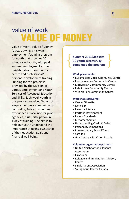# value of work value of money

Value of Work, Value of Money (VOW, VOM) is an 8 week employment/training program for youth that provides 10 school-aged youth, with paid summer employment at their neighbourhood community centre and professional/ personal development training. Funding for this project is provided by the Division of Career, Employment and Youth Services of Advanced Education and Skills. Each week youth in this program received 3-days of employment as a summer camp counsellor, 1-day of volunteer experience at local not-for-profit agencies, plus participation in 1-day of training. The aim is to help our youth understand the importance of taking ownership of their education goals and financial well-being.

**Summer 2013 Statistics 10 youth successfully completed the program**

#### **Work placements:**

- Buckmasters Circle Community Centre
- Froude Avenue Community Centre
- MacMorran Commmunity Centre
- Rabbittown Community Centre
- Virginia Park Community Centre

#### **Workshops delivered:**

- Career Etiquette
- Got Skills
- Financial Literacy
- Portfolio Development
- Labour Standards
- Customer Service
- Understanding Credit & Debit
- Personality Dimensions
- Post-secondary School Tours
- Safe Talk
- Goal Setting with Vision Boards

#### **Volunteer organization partners:**

- United Neighborhood Tenants Association
- Fluvarium
- Refugee and Immigration Advisory Centre
- Single Parent Association
- Young Adult Cancer Canada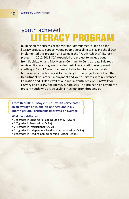# youth achieve! Literacy Program

Building on the success of the Vibrant Communities St. John's pilot literacy project to support young people struggling to stay in school CCA implemented this program and called it the "Youth Achieve!" literacy project. In 2012-2013 CCA expanded the project to include youth from Rabbittown and MacMorran Community Centre areas. This Youth Achieve! literacy program provides basic literacy skills development to youth ages 12 – 17 years that are still attached to the school system but have very low literacy skills. Funding for this project came from the Department of Career, Employment and Youth Services within Advanced Education and Skills as well as our annual Youth Achieve Run/Walk for Literacy and our PGI for Literacy fundraisers. This project is an attempt to prevent youth who are struggling in school from dropping out.

**From Dec. 2012 – May 2013, 19 youth participated in an average of 15 one-on-one sessions in a 5 month period. Participants improved on average:**

#### **Workshops delivered:**

- 1.0 grades in Sight Word Reading Efficiency (TOWRE)
- 2.7 grades in Frustration (CARA)
- 2.4 grades in Instructional (CARA)
- 2.2 grades in Independent Reading Comprehension (CARA)
- 0.9 grades in Reading Comprehension (McCall-Crabbs)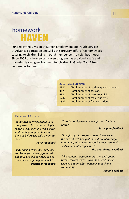## homework haven

Funded by the Division of Career, Employment and Youth Services of Advanced Education and Skills this program offers free homework tutoring to children living in our 5 member centre neighbourhoods. Since 2005 this Homework Haven program has provided a safe and nurturing learning environment for children in Grades 7 – 12 from September to June.

|      | 2012 - 2013 Statistics:                    |
|------|--------------------------------------------|
| 2624 | Total number of student/participant visits |
| 457  | Total number of sessions                   |
| 962  | Total number of volunteer visits           |
| 1242 | Total number of male students              |
| 1382 | Total number of female students            |

#### Evidence of Success

*"It has helped my daughter in so many ways. She is now at a higher reading level then she was before. And she is getting her homework done as before she didn't want to do it."*

#### *Parent feedback*

*"Best feeling when you leave and you know you're ready for a test, and they are just as happy as you are when you get a good mark." Participant feedback*

*"Tutoring really helped me improve a lot in my Math."*

#### *Participant feedback*

*"Benefits of this program are an increase in the overall well-being of the individual through interacting with peers, increasing their academic skills and mental capacities."*

#### *Site Coordinator Feedback*

*"The Students enjoyed interaction with young tutors, rewards such as gym time and snacks showed a team effort between school and community."*

*School Feedback*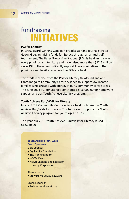# fundraising Initiatives

#### **PGI for Literacy**

In 1986, award-winning Canadian broadcaster and journalist Peter Gzowski began raising funds for literacy through an annual golf tournament, The Peter Gzowski Invitational (PGI) is held annually in every province and territory and have raised more than \$12.5 million since 1986. These funds directly support literacy initiatives in the provinces and territories where the PGIs are held.

The funds received from the PGI for Literacy Newfoundland and Labrador go to Community Centre Alliance to support low-income families who struggle with literacy in our 5 community centre areas. The June 2013 PGI for Literacy contributed \$ 16,000.00 for homework support and our Youth Achieve Literacy program.

#### **Youth Achieve Run/Walk for Literacy**

In Nov. 2012 Community Centre Alliance held its 1st Annual Youth Achieve Run/Walk for Literacy. This fundraiser supports our Youth Achieve Literacy program for youth ages  $12 - 17$ .

This year our 2013 Youth Achieve Run/Walk for Literacy raised \$12,040.00

**Youth Achieve Run/Walk Event Sponsors:** Gold sponsor

- Fry Family Foundation
- The Running Room
- VOCM Cares
- Newfoundland and Labrador Housing Corporation

Silver sponsor

• Stewart McKelvey, Lawyers

#### Bronze sponsor

• ReMax - Andrew Gosse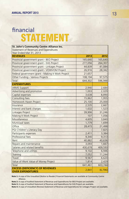# financial **STATEMENT**

| St. John's Community Centre Alliance Inc.         |         |          |  |
|---------------------------------------------------|---------|----------|--|
| Statement of Revenues and Expenditures            |         |          |  |
| Year Ended Mar 31, 2013                           |         |          |  |
| <b>REVENUES</b>                                   | 2013    | 2012     |  |
| Provincial government grant - BEO Project         | 165,640 | 165,640  |  |
| Provincial government grant - EAS Project         | 277,056 | 264,307  |  |
| Provincial government grant - Linkages Project    | 44,839  | 41,084   |  |
| Provincial government grant - VOWVOM Project      | 26,916  | 28,342   |  |
| Federal government grant - Making It Work Project | 21,657  |          |  |
| Other Funding - Various Projects                  | 108,194 | 97,575   |  |
| Total                                             | 644,302 | 596,948  |  |
| <b>EXPENDITURES</b>                               |         |          |  |
| <b>ARMS Support</b>                               | 2,940   | 2,684    |  |
| Advertising and promotion                         | 1,003   | 2,029    |  |
| Capital expenses                                  | 3,638   | 8,890    |  |
| Consulting fees                                   | 15,862  | 1,955    |  |
| Homework Haven Project                            | 25,100  | 25,000   |  |
| Insurance                                         | 2,535   | 2,667    |  |
| Interest and bank charges                         | 1,632   | 1,523    |  |
| Linkages Project                                  | 39,906  | 31,246   |  |
| Making It Work Project                            | 107     | 1,056    |  |
| Miscellaneous                                     | 4,605   | 3,840    |  |
| Municipal taxes                                   | 1,779   | 1,699    |  |
| Office                                            | 28,415  | 21,498   |  |
| PGI Children's Literacy Day                       |         | 7,825    |  |
| Participants expenses                             | 2,411   | 3,384    |  |
| Professional fees                                 | 9,340   | 9,313    |  |
| Rent                                              | 40,882  | 40,636   |  |
| Repairs and maintenance                           | 3,093   | 1,667    |  |
| Salaries and related benefits                     | 430,678 | 409,593  |  |
| Telephone and utilities                           | 9,102   | 6,946    |  |
| Training                                          | 7,052   | 11,244   |  |
| <b>Travel</b>                                     | 9,567   | 6,620    |  |
| Value of Work Value of Money Project              | 1,814   | 2,429    |  |
| Total                                             | 641,461 | 603,744  |  |
| <b>EXCESS (DEFICIENCY) OF REVENUES</b>            |         |          |  |
| <b>OVER EXPENDITURES</b>                          | 2,841   | (6, 796) |  |

**Note 1:** A copy of the Unaudited (Notice to Reader) Financial Statements are available at Community Centre Alliance.

**Note 2:** A copy of Audited Statement of Revenue and Expenditures for BEO Project are available.

**Note 3:** A copy of Audited Statement of Revenue and Expenditures for EAS Project are available.

**Note 4:** A copy of Unaudited (Review) Statement of Revenue and Expenditures for Linkages Project are available.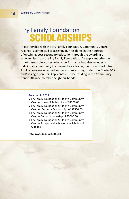# Fry Family Foundation **SCHOLARSHIPS**

In partnership with the Fry Family Foundation, Community Centre Alliance is committed to assisting our residents in their pursuit of obtaining post-secondary education through the awarding of scholarships from the Fry Family Foundation. An applicant criterion is not based solely on scholastic performance but also includes an individual's community involvement as a leader, mentor and volunteer. Applications are accepted annually from existing students in Grade 9-12 and/or single parents. Applicants must be residing in the Community Centre Alliance member neighbourhoods.

#### **Awarded in 2013**

- **5** Fry Family Foundation St. John's Community Centres Junior Scholarships of \$1200.00
- **5** Fry Family Foundation St. John's Community Centres Entrance Scholarships of \$2500.00
- **1** Fry Family Foundation St. John's Community Centres Senior Scholarship of \$5000.00
- **1** Fry Family Foundation St. John's Community Centres Exceptional Achievement Scholarship of \$5000.00

**Total Awarded: \$28,500.00**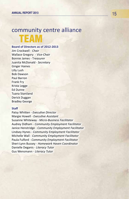# community centre alliance team

**Board of Directors as of 2012-2013** Jim Crockwell - *Chair* Wallace Gregory - *Vice-Chair* Bonnie James - T*reasurer* Juanita McDonald - *Secretary* Ginger Haines Lilly Lush Bob Dawson Paul Barron Frank Fry Krista Legge Ed Dunne Tuana Staniland Derick Duggan Bradley George

#### **Staff**

Patsy Whitten - *Executive Director* Margie Howell - *Executive Assistant* Susanne Whiteway - *Micro-Business Facilitator* Audrey Didham - *Community Employment Facilitator* Janice Henstridge - *Community Employment Facilitator* Lindsey Hynes - *Community Employment Facilitator* Michelle Wall - *Community Employment Facilitator* Paula Fulford - *Community Employment Facilitator* Sheri-Lynn Bussey - *Homework Haven Coordinator* Danielle Deganis - *Literacy Tutor* Gus Wensmann *- Literacy Tutor*